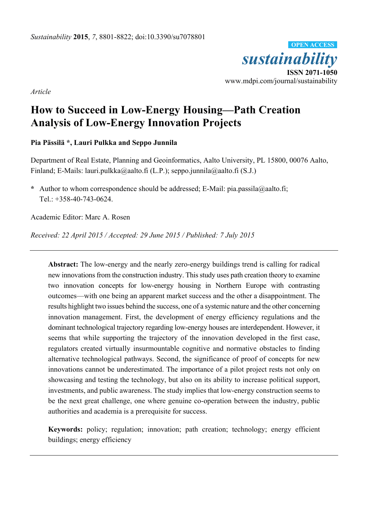

*Article* 

# **How to Succeed in Low-Energy Housing—Path Creation Analysis of Low-Energy Innovation Projects**

## **Pia Pässilä \*, Lauri Pulkka and Seppo Junnila**

Department of Real Estate, Planning and Geoinformatics, Aalto University, PL 15800, 00076 Aalto, Finland; E-Mails: lauri.pulkka@aalto.fi (L.P.); seppo.junnila@aalto.fi (S.J.)

**\*** Author to whom correspondence should be addressed; E-Mail: pia.passila@aalto.fi; Tel.: +358-40-743-0624.

Academic Editor: Marc A. Rosen

*Received: 22 April 2015 / Accepted: 29 June 2015 / Published: 7 July 2015* 

**Abstract:** The low-energy and the nearly zero-energy buildings trend is calling for radical new innovations from the construction industry. This study uses path creation theory to examine two innovation concepts for low-energy housing in Northern Europe with contrasting outcomes—with one being an apparent market success and the other a disappointment. The results highlight two issues behind the success, one of a systemic nature and the other concerning innovation management. First, the development of energy efficiency regulations and the dominant technological trajectory regarding low-energy houses are interdependent. However, it seems that while supporting the trajectory of the innovation developed in the first case, regulators created virtually insurmountable cognitive and normative obstacles to finding alternative technological pathways. Second, the significance of proof of concepts for new innovations cannot be underestimated. The importance of a pilot project rests not only on showcasing and testing the technology, but also on its ability to increase political support, investments, and public awareness. The study implies that low-energy construction seems to be the next great challenge, one where genuine co-operation between the industry, public authorities and academia is a prerequisite for success.

**Keywords:** policy; regulation; innovation; path creation; technology; energy efficient buildings; energy efficiency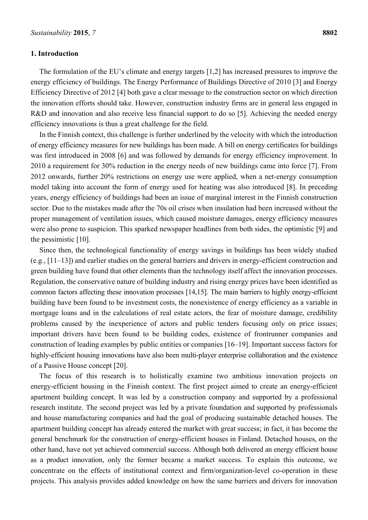#### **1. Introduction**

The formulation of the EU's climate and energy targets [1,2] has increased pressures to improve the energy efficiency of buildings. The Energy Performance of Buildings Directive of 2010 [3] and Energy Efficiency Directive of 2012 [4] both gave a clear message to the construction sector on which direction the innovation efforts should take. However, construction industry firms are in general less engaged in

In the Finnish context, this challenge is further underlined by the velocity with which the introduction of energy efficiency measures for new buildings has been made. A bill on energy certificates for buildings was first introduced in 2008 [6] and was followed by demands for energy efficiency improvement. In 2010 a requirement for 30% reduction in the energy needs of new buildings came into force [7]. From 2012 onwards, further 20% restrictions on energy use were applied, when a net-energy consumption model taking into account the form of energy used for heating was also introduced [8]. In preceding years, energy efficiency of buildings had been an issue of marginal interest in the Finnish construction sector. Due to the mistakes made after the 70s oil crises when insulation had been increased without the proper management of ventilation issues, which caused moisture damages, energy efficiency measures were also prone to suspicion. This sparked newspaper headlines from both sides, the optimistic [9] and the pessimistic [10].

R&D and innovation and also receive less financial support to do so [5]. Achieving the needed energy

efficiency innovations is thus a great challenge for the field.

Since then, the technological functionality of energy savings in buildings has been widely studied (e.g., [11–13]) and earlier studies on the general barriers and drivers in energy-efficient construction and green building have found that other elements than the technology itself affect the innovation processes. Regulation, the conservative nature of building industry and rising energy prices have been identified as common factors affecting these innovation processes [14,15]. The main barriers to highly energy-efficient building have been found to be investment costs, the nonexistence of energy efficiency as a variable in mortgage loans and in the calculations of real estate actors, the fear of moisture damage, credibility problems caused by the inexperience of actors and public tenders focusing only on price issues; important drivers have been found to be building codes, existence of frontrunner companies and construction of leading examples by public entities or companies [16–19]. Important success factors for highly-efficient housing innovations have also been multi-player enterprise collaboration and the existence of a Passive House concept [20].

The focus of this research is to holistically examine two ambitious innovation projects on energy-efficient housing in the Finnish context. The first project aimed to create an energy-efficient apartment building concept. It was led by a construction company and supported by a professional research institute. The second project was led by a private foundation and supported by professionals and house manufacturing companies and had the goal of producing sustainable detached houses. The apartment building concept has already entered the market with great success; in fact, it has become the general benchmark for the construction of energy-efficient houses in Finland. Detached houses, on the other hand, have not yet achieved commercial success. Although both delivered an energy efficient house as a product innovation, only the former became a market success. To explain this outcome, we concentrate on the effects of institutional context and firm/organization-level co-operation in these projects. This analysis provides added knowledge on how the same barriers and drivers for innovation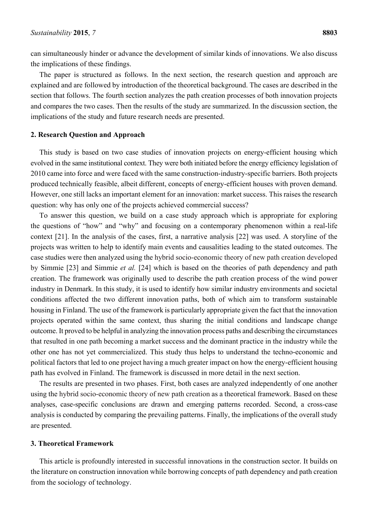can simultaneously hinder or advance the development of similar kinds of innovations. We also discuss the implications of these findings.

The paper is structured as follows. In the next section, the research question and approach are explained and are followed by introduction of the theoretical background. The cases are described in the section that follows. The fourth section analyzes the path creation processes of both innovation projects and compares the two cases. Then the results of the study are summarized. In the discussion section, the implications of the study and future research needs are presented.

#### **2. Research Question and Approach**

This study is based on two case studies of innovation projects on energy-efficient housing which evolved in the same institutional context. They were both initiated before the energy efficiency legislation of 2010 came into force and were faced with the same construction-industry-specific barriers. Both projects produced technically feasible, albeit different, concepts of energy-efficient houses with proven demand. However, one still lacks an important element for an innovation: market success. This raises the research question: why has only one of the projects achieved commercial success?

To answer this question, we build on a case study approach which is appropriate for exploring the questions of "how" and "why" and focusing on a contemporary phenomenon within a real-life context [21]. In the analysis of the cases, first, a narrative analysis [22] was used. A storyline of the projects was written to help to identify main events and causalities leading to the stated outcomes. The case studies were then analyzed using the hybrid socio-economic theory of new path creation developed by Simmie [23] and Simmie *et al.* [24] which is based on the theories of path dependency and path creation. The framework was originally used to describe the path creation process of the wind power industry in Denmark. In this study, it is used to identify how similar industry environments and societal conditions affected the two different innovation paths, both of which aim to transform sustainable housing in Finland. The use of the framework is particularly appropriate given the fact that the innovation projects operated within the same context, thus sharing the initial conditions and landscape change outcome. It proved to be helpful in analyzing the innovation process paths and describing the circumstances that resulted in one path becoming a market success and the dominant practice in the industry while the other one has not yet commercialized. This study thus helps to understand the techno-economic and political factors that led to one project having a much greater impact on how the energy-efficient housing path has evolved in Finland. The framework is discussed in more detail in the next section.

The results are presented in two phases. First, both cases are analyzed independently of one another using the hybrid socio-economic theory of new path creation as a theoretical framework. Based on these analyses, case-specific conclusions are drawn and emerging patterns recorded. Second, a cross-case analysis is conducted by comparing the prevailing patterns. Finally, the implications of the overall study are presented.

#### **3. Theoretical Framework**

This article is profoundly interested in successful innovations in the construction sector. It builds on the literature on construction innovation while borrowing concepts of path dependency and path creation from the sociology of technology.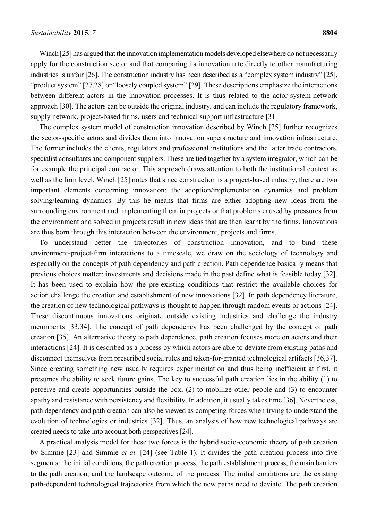Winch [25] has argued that the innovation implementation models developed elsewhere do not necessarily apply for the construction sector and that comparing its innovation rate directly to other manufacturing industries is unfair [26]. The construction industry has been described as a "complex system industry" [25], "product system" [27,28] or "loosely coupled system" [29]. These descriptions emphasize the interactions between different actors in the innovation processes. It is thus related to the actor-system-network approach [30]. The actors can be outside the original industry, and can include the regulatory framework, supply network, project-based firms, users and technical support infrastructure [31].

The complex system model of construction innovation described by Winch [25] further recognizes the sector-specific actors and divides them into innovation superstructure and innovation infrastructure. The former includes the clients, regulators and professional institutions and the latter trade contractors, specialist consultants and component suppliers. These are tied together by a system integrator, which can be for example the principal contractor. This approach draws attention to both the institutional context as well as the firm level. Winch [25] notes that since construction is a project-based industry, there are two important elements concerning innovation: the adoption/implementation dynamics and problem solving/learning dynamics. By this he means that firms are either adopting new ideas from the surrounding environment and implementing them in projects or that problems caused by pressures from the environment and solved in projects result in new ideas that are then learnt by the firms. Innovations are thus born through this interaction between the environment, projects and firms.

To understand better the trajectories of construction innovation, and to bind these environment-project-firm interactions to a timescale, we draw on the sociology of technology and especially on the concepts of path dependency and path creation. Path dependence basically means that previous choices matter: investments and decisions made in the past define what is feasible today [32]. It has been used to explain how the pre-existing conditions that restrict the available choices for action challenge the creation and establishment of new innovations [32]. In path dependency literature, the creation of new technological pathways is thought to happen through random events or actions [24]. These discontinuous innovations originate outside existing industries and challenge the industry incumbents [33,34]. The concept of path dependency has been challenged by the concept of path creation [35]. An alternative theory to path dependence, path creation focuses more on actors and their interactions [24]. It is described as a process by which actors are able to deviate from existing paths and disconnect themselves from prescribed social rules and taken-for-granted technological artifacts [36,37]. Since creating something new usually requires experimentation and thus being inefficient at first, it presumes the ability to seek future gains. The key to successful path creation lies in the ability (1) to perceive and create opportunities outside the box, (2) to mobilize other people and (3) to encounter apathy and resistance with persistency and flexibility. In addition, it usually takes time [36]. Nevertheless, path dependency and path creation can also be viewed as competing forces when trying to understand the evolution of technologies or industries [32]. Thus, an analysis of how new technological pathways are created needs to take into account both perspectives [24].

A practical analysis model for these two forces is the hybrid socio-economic theory of path creation by Simmie [23] and Simmie *et al.* [24] (see Table 1). It divides the path creation process into five segments: the initial conditions, the path creation process, the path establishment process, the main barriers to the path creation, and the landscape outcome of the process. The initial conditions are the existing path-dependent technological trajectories from which the new paths need to deviate. The path creation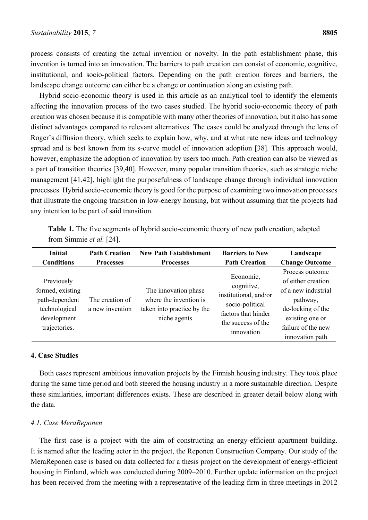process consists of creating the actual invention or novelty. In the path establishment phase, this invention is turned into an innovation. The barriers to path creation can consist of economic, cognitive, institutional, and socio-political factors. Depending on the path creation forces and barriers, the landscape change outcome can either be a change or continuation along an existing path.

Hybrid socio-economic theory is used in this article as an analytical tool to identify the elements affecting the innovation process of the two cases studied. The hybrid socio-economic theory of path creation was chosen because it is compatible with many other theories of innovation, but it also has some distinct advantages compared to relevant alternatives. The cases could be analyzed through the lens of Roger's diffusion theory, which seeks to explain how, why, and at what rate new ideas and technology spread and is best known from its s-curve model of innovation adoption [38]. This approach would, however, emphasize the adoption of innovation by users too much. Path creation can also be viewed as a part of transition theories [39,40]. However, many popular transition theories, such as strategic niche management [41,42], highlight the purposefulness of landscape change through individual innovation processes. Hybrid socio-economic theory is good for the purpose of examining two innovation processes that illustrate the ongoing transition in low-energy housing, but without assuming that the projects had any intention to be part of said transition.

|                          | <b>Table 1.</b> The five segments of hybrid socio-economic theory of new path creation, adapted |  |  |
|--------------------------|-------------------------------------------------------------------------------------------------|--|--|
| from Simmie et al. [24]. |                                                                                                 |  |  |

| <b>Initial</b>                                                                                    | <b>Path Creation</b>               | <b>New Path Establishment</b>                                                                | <b>Barriers to New</b>                                                                                                         | Landscape                                                                                                                                                 |
|---------------------------------------------------------------------------------------------------|------------------------------------|----------------------------------------------------------------------------------------------|--------------------------------------------------------------------------------------------------------------------------------|-----------------------------------------------------------------------------------------------------------------------------------------------------------|
| <b>Conditions</b>                                                                                 | <b>Processes</b>                   | <b>Processes</b>                                                                             | <b>Path Creation</b>                                                                                                           | <b>Change Outcome</b>                                                                                                                                     |
| Previously<br>formed, existing<br>path-dependent<br>technological<br>development<br>trajectories. | The creation of<br>a new invention | The innovation phase<br>where the invention is<br>taken into practice by the<br>niche agents | Economic,<br>cognitive,<br>institutional, and/or<br>socio-political<br>factors that hinder<br>the success of the<br>innovation | Process outcome<br>of either creation<br>of a new industrial<br>pathway,<br>de-locking of the<br>existing one or<br>failure of the new<br>innovation path |

#### **4. Case Studies**

Both cases represent ambitious innovation projects by the Finnish housing industry. They took place during the same time period and both steered the housing industry in a more sustainable direction. Despite these similarities, important differences exists. These are described in greater detail below along with the data.

#### *4.1. Case MeraReponen*

The first case is a project with the aim of constructing an energy-efficient apartment building. It is named after the leading actor in the project, the Reponen Construction Company. Our study of the MeraReponen case is based on data collected for a thesis project on the development of energy-efficient housing in Finland, which was conducted during 2009–2010. Further update information on the project has been received from the meeting with a representative of the leading firm in three meetings in 2012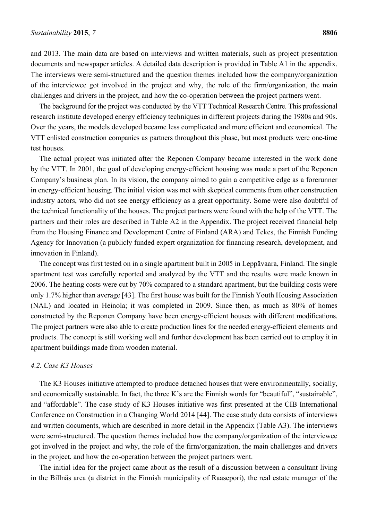and 2013. The main data are based on interviews and written materials, such as project presentation documents and newspaper articles. A detailed data description is provided in Table A1 in the appendix. The interviews were semi-structured and the question themes included how the company/organization of the interviewee got involved in the project and why, the role of the firm/organization, the main challenges and drivers in the project, and how the co-operation between the project partners went.

The background for the project was conducted by the VTT Technical Research Centre. This professional research institute developed energy efficiency techniques in different projects during the 1980s and 90s. Over the years, the models developed became less complicated and more efficient and economical. The VTT enlisted construction companies as partners throughout this phase, but most products were one-time test houses.

The actual project was initiated after the Reponen Company became interested in the work done by the VTT. In 2001, the goal of developing energy-efficient housing was made a part of the Reponen Company's business plan. In its vision, the company aimed to gain a competitive edge as a forerunner in energy-efficient housing. The initial vision was met with skeptical comments from other construction industry actors, who did not see energy efficiency as a great opportunity. Some were also doubtful of the technical functionality of the houses. The project partners were found with the help of the VTT. The partners and their roles are described in Table A2 in the Appendix. The project received financial help from the Housing Finance and Development Centre of Finland (ARA) and Tekes, the Finnish Funding Agency for Innovation (a publicly funded expert organization for financing research, development, and innovation in Finland).

The concept was first tested on in a single apartment built in 2005 in Leppävaara, Finland. The single apartment test was carefully reported and analyzed by the VTT and the results were made known in 2006. The heating costs were cut by 70% compared to a standard apartment, but the building costs were only 1.7% higher than average [43]. The first house was built for the Finnish Youth Housing Association (NAL) and located in Heinola; it was completed in 2009. Since then, as much as 80% of homes constructed by the Reponen Company have been energy-efficient houses with different modifications. The project partners were also able to create production lines for the needed energy-efficient elements and products. The concept is still working well and further development has been carried out to employ it in apartment buildings made from wooden material.

#### *4.2. Case K3 Houses*

The K3 Houses initiative attempted to produce detached houses that were environmentally, socially, and economically sustainable. In fact, the three K's are the Finnish words for "beautiful", "sustainable", and "affordable". The case study of K3 Houses initiative was first presented at the CIB International Conference on Construction in a Changing World 2014 [44]. The case study data consists of interviews and written documents, which are described in more detail in the Appendix (Table A3). The interviews were semi-structured. The question themes included how the company/organization of the interviewee got involved in the project and why, the role of the firm/organization, the main challenges and drivers in the project, and how the co-operation between the project partners went.

The initial idea for the project came about as the result of a discussion between a consultant living in the Billnäs area (a district in the Finnish municipality of Raasepori), the real estate manager of the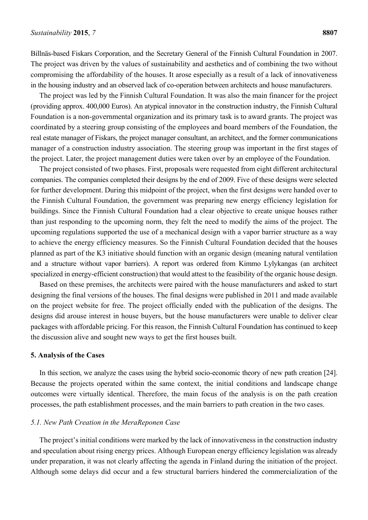Billnäs-based Fiskars Corporation, and the Secretary General of the Finnish Cultural Foundation in 2007. The project was driven by the values of sustainability and aesthetics and of combining the two without compromising the affordability of the houses. It arose especially as a result of a lack of innovativeness in the housing industry and an observed lack of co-operation between architects and house manufacturers.

The project was led by the Finnish Cultural Foundation. It was also the main financer for the project (providing approx. 400,000 Euros). An atypical innovator in the construction industry, the Finnish Cultural Foundation is a non-governmental organization and its primary task is to award grants. The project was coordinated by a steering group consisting of the employees and board members of the Foundation, the real estate manager of Fiskars, the project manager consultant, an architect, and the former communications manager of a construction industry association. The steering group was important in the first stages of the project. Later, the project management duties were taken over by an employee of the Foundation.

The project consisted of two phases. First, proposals were requested from eight different architectural companies. The companies completed their designs by the end of 2009. Five of these designs were selected for further development. During this midpoint of the project, when the first designs were handed over to the Finnish Cultural Foundation, the government was preparing new energy efficiency legislation for buildings. Since the Finnish Cultural Foundation had a clear objective to create unique houses rather than just responding to the upcoming norm, they felt the need to modify the aims of the project. The upcoming regulations supported the use of a mechanical design with a vapor barrier structure as a way to achieve the energy efficiency measures. So the Finnish Cultural Foundation decided that the houses planned as part of the K3 initiative should function with an organic design (meaning natural ventilation and a structure without vapor barriers). A report was ordered from Kimmo Lylykangas (an architect specialized in energy-efficient construction) that would attest to the feasibility of the organic house design.

Based on these premises, the architects were paired with the house manufacturers and asked to start designing the final versions of the houses. The final designs were published in 2011 and made available on the project website for free. The project officially ended with the publication of the designs. The designs did arouse interest in house buyers, but the house manufacturers were unable to deliver clear packages with affordable pricing. For this reason, the Finnish Cultural Foundation has continued to keep the discussion alive and sought new ways to get the first houses built.

#### **5. Analysis of the Cases**

In this section, we analyze the cases using the hybrid socio-economic theory of new path creation [24]. Because the projects operated within the same context, the initial conditions and landscape change outcomes were virtually identical. Therefore, the main focus of the analysis is on the path creation processes, the path establishment processes, and the main barriers to path creation in the two cases.

#### *5.1. New Path Creation in the MeraReponen Case*

The project's initial conditions were marked by the lack of innovativeness in the construction industry and speculation about rising energy prices. Although European energy efficiency legislation was already under preparation, it was not clearly affecting the agenda in Finland during the initiation of the project. Although some delays did occur and a few structural barriers hindered the commercialization of the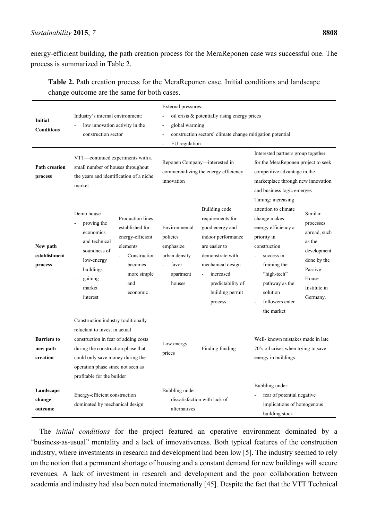energy-efficient building, the path creation process for the MeraReponen case was successful one. The process is summarized in Table 2.

**Table 2.** Path creation process for the MeraReponen case. Initial conditions and landscape change outcome are the same for both cases.

| <b>Initial</b><br><b>Conditions</b><br><b>Path creation</b> | Industry's internal environment:<br>low innovation activity in the<br>construction sector<br>VTT-continued experiments with a<br>small number of houses throughout                                                                                                      | External pressures:<br>oil crisis & potentially rising energy prices<br>$\frac{1}{2}$<br>global warming<br>$\frac{1}{2}$<br>construction sectors' climate change mitigation potential<br>$\blacksquare$<br>EU regulation<br>$\blacksquare$<br>Reponen Company-interested in<br>commercializing the energy efficiency                | Interested partners group together<br>for the MeraReponen project to seek<br>competitive advantage in the                                                                                                                                                                                                                                                   |  |
|-------------------------------------------------------------|-------------------------------------------------------------------------------------------------------------------------------------------------------------------------------------------------------------------------------------------------------------------------|-------------------------------------------------------------------------------------------------------------------------------------------------------------------------------------------------------------------------------------------------------------------------------------------------------------------------------------|-------------------------------------------------------------------------------------------------------------------------------------------------------------------------------------------------------------------------------------------------------------------------------------------------------------------------------------------------------------|--|
| process                                                     | the years and identification of a niche<br>market                                                                                                                                                                                                                       | innovation                                                                                                                                                                                                                                                                                                                          | marketplace through new innovation<br>and business logic emerges                                                                                                                                                                                                                                                                                            |  |
| New path<br>establishment<br>process                        | Demo house<br>Production lines<br>proving the<br>established for<br>economics<br>energy-efficient<br>and technical<br>elements<br>soundness of<br>Construction<br>low-energy<br>becomes<br>buildings<br>more simple<br>gaining<br>and<br>market<br>economic<br>interest | Building code<br>requirements for<br>Environmental<br>good energy and<br>policies<br>indoor performance<br>emphasize<br>are easier to<br>urban density<br>demonstrate with<br>favor<br>mechanical design<br>$\blacksquare$<br>increased<br>apartment<br>$\blacksquare$<br>houses<br>predictability of<br>building permit<br>process | Timing: increasing<br>attention to climate<br>Similar<br>change makes<br>processes<br>energy efficiency a<br>abroad, such<br>priority in<br>as the<br>construction<br>development<br>success in<br>done by the<br>framing the<br>Passive<br>"high-tech"<br>House<br>pathway as the<br>Institute in<br>solution<br>Germany.<br>followers enter<br>the market |  |
| <b>Barriers to</b><br>new path<br>creation                  | Construction industry traditionally<br>reluctant to invest in actual<br>construction in fear of adding costs<br>during the construction phase that<br>could only save money during the<br>operation phase since not seen as<br>profitable for the builder               | Low energy<br>Finding funding<br>prices                                                                                                                                                                                                                                                                                             | Well-known mistakes made in late<br>70's oil crises when trying to save<br>energy in buildings                                                                                                                                                                                                                                                              |  |
| Landscape<br>change<br>outcome                              | Energy-efficient construction<br>dominated by mechanical design                                                                                                                                                                                                         | Bubbling under:<br>dissatisfaction with lack of<br>alternatives                                                                                                                                                                                                                                                                     | Bubbling under:<br>fear of potential negative<br>implications of homogenous<br>building stock                                                                                                                                                                                                                                                               |  |

The *initial conditions* for the project featured an operative environment dominated by a "business-as-usual" mentality and a lack of innovativeness. Both typical features of the construction industry, where investments in research and development had been low [5]. The industry seemed to rely on the notion that a permanent shortage of housing and a constant demand for new buildings will secure revenues. A lack of investment in research and development and the poor collaboration between academia and industry had also been noted internationally [45]. Despite the fact that the VTT Technical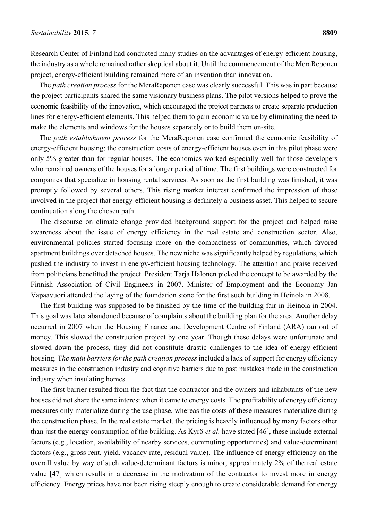Research Center of Finland had conducted many studies on the advantages of energy-efficient housing, the industry as a whole remained rather skeptical about it. Until the commencement of the MeraReponen project, energy-efficient building remained more of an invention than innovation.

The *path creation process* for the MeraReponen case was clearly successful. This was in part because the project participants shared the same visionary business plans. The pilot versions helped to prove the economic feasibility of the innovation, which encouraged the project partners to create separate production lines for energy-efficient elements. This helped them to gain economic value by eliminating the need to make the elements and windows for the houses separately or to build them on-site.

The *path establishment process* for the MeraReponen case confirmed the economic feasibility of energy-efficient housing; the construction costs of energy-efficient houses even in this pilot phase were only 5% greater than for regular houses. The economics worked especially well for those developers who remained owners of the houses for a longer period of time. The first buildings were constructed for companies that specialize in housing rental services. As soon as the first building was finished, it was promptly followed by several others. This rising market interest confirmed the impression of those involved in the project that energy-efficient housing is definitely a business asset. This helped to secure continuation along the chosen path.

The discourse on climate change provided background support for the project and helped raise awareness about the issue of energy efficiency in the real estate and construction sector. Also, environmental policies started focusing more on the compactness of communities, which favored apartment buildings over detached houses. The new niche was significantly helped by regulations, which pushed the industry to invest in energy-efficient housing technology. The attention and praise received from politicians benefitted the project. President Tarja Halonen picked the concept to be awarded by the Finnish Association of Civil Engineers in 2007. Minister of Employment and the Economy Jan Vapaavuori attended the laying of the foundation stone for the first such building in Heinola in 2008.

The first building was supposed to be finished by the time of the building fair in Heinola in 2004. This goal was later abandoned because of complaints about the building plan for the area. Another delay occurred in 2007 when the Housing Finance and Development Centre of Finland (ARA) ran out of money. This slowed the construction project by one year. Though these delays were unfortunate and slowed down the process, they did not constitute drastic challenges to the idea of energy-efficient housing. T*he main barriers for the path creation process* included a lack of support for energy efficiency measures in the construction industry and cognitive barriers due to past mistakes made in the construction industry when insulating homes.

The first barrier resulted from the fact that the contractor and the owners and inhabitants of the new houses did not share the same interest when it came to energy costs. The profitability of energy efficiency measures only materialize during the use phase, whereas the costs of these measures materialize during the construction phase. In the real estate market, the pricing is heavily influenced by many factors other than just the energy consumption of the building. As Kyrö *et al.* have stated [46], these include external factors (e.g., location, availability of nearby services, commuting opportunities) and value-determinant factors (e.g., gross rent, yield, vacancy rate, residual value). The influence of energy efficiency on the overall value by way of such value-determinant factors is minor, approximately 2% of the real estate value [47] which results in a decrease in the motivation of the contractor to invest more in energy efficiency. Energy prices have not been rising steeply enough to create considerable demand for energy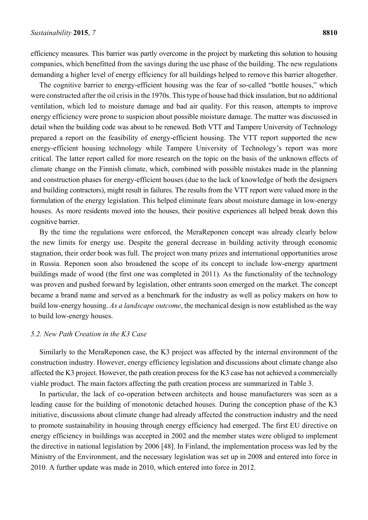efficiency measures. This barrier was partly overcome in the project by marketing this solution to housing companies, which benefitted from the savings during the use phase of the building. The new regulations demanding a higher level of energy efficiency for all buildings helped to remove this barrier altogether.

The cognitive barrier to energy-efficient housing was the fear of so-called "bottle houses," which were constructed after the oil crisis in the 1970s. This type of house had thick insulation, but no additional ventilation, which led to moisture damage and bad air quality. For this reason, attempts to improve energy efficiency were prone to suspicion about possible moisture damage. The matter was discussed in detail when the building code was about to be renewed. Both VTT and Tampere University of Technology prepared a report on the feasibility of energy-efficient housing. The VTT report supported the new energy-efficient housing technology while Tampere University of Technology's report was more critical. The latter report called for more research on the topic on the basis of the unknown effects of climate change on the Finnish climate, which, combined with possible mistakes made in the planning and construction phases for energy-efficient houses (due to the lack of knowledge of both the designers and building contractors), might result in failures. The results from the VTT report were valued more in the formulation of the energy legislation. This helped eliminate fears about moisture damage in low-energy houses. As more residents moved into the houses, their positive experiences all helped break down this cognitive barrier.

By the time the regulations were enforced, the MeraReponen concept was already clearly below the new limits for energy use. Despite the general decrease in building activity through economic stagnation, their order book was full. The project won many prizes and international opportunities arose in Russia. Reponen soon also broadened the scope of its concept to include low-energy apartment buildings made of wood (the first one was completed in 2011). As the functionality of the technology was proven and pushed forward by legislation, other entrants soon emerged on the market. The concept became a brand name and served as a benchmark for the industry as well as policy makers on how to build low-energy housing. *As a landscape outcome*, the mechanical design is now established as the way to build low-energy houses.

#### *5.2. New Path Creation in the K3 Case*

Similarly to the MeraReponen case, the K3 project was affected by the internal environment of the construction industry. However, energy efficiency legislation and discussions about climate change also affected the K3 project. However, the path creation process for the K3 case has not achieved a commercially viable product. The main factors affecting the path creation process are summarized in Table 3.

In particular, the lack of co-operation between architects and house manufacturers was seen as a leading cause for the building of monotonic detached houses. During the conception phase of the K3 initiative, discussions about climate change had already affected the construction industry and the need to promote sustainability in housing through energy efficiency had emerged. The first EU directive on energy efficiency in buildings was accepted in 2002 and the member states were obliged to implement the directive in national legislation by 2006 [48]. In Finland, the implementation process was led by the Ministry of the Environment, and the necessary legislation was set up in 2008 and entered into force in 2010. A further update was made in 2010, which entered into force in 2012.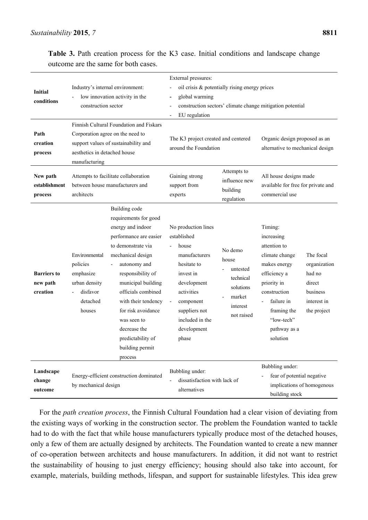**Table 3.** Path creation process for the K3 case. Initial conditions and landscape change outcome are the same for both cases.

| Initial<br>conditions<br>Path<br>creation  | Industry's internal environment:<br>low innovation activity in the<br>construction sector<br>Finnish Cultural Foundation and Fiskars<br>Corporation agree on the need to<br>support values of sustainability and                                                                                                                                                                                                                              | External pressures:<br>oil crisis & potentially rising energy prices<br>global warming<br>$\qquad \qquad \blacksquare$<br>construction sectors' climate change mitigation potential<br>EU regulation<br>The K3 project created and centered<br>Organic design proposed as an<br>around the Foundation<br>alternative to mechanical design |                                                                                                                                                                                                                                                                                          |  |
|--------------------------------------------|-----------------------------------------------------------------------------------------------------------------------------------------------------------------------------------------------------------------------------------------------------------------------------------------------------------------------------------------------------------------------------------------------------------------------------------------------|-------------------------------------------------------------------------------------------------------------------------------------------------------------------------------------------------------------------------------------------------------------------------------------------------------------------------------------------|------------------------------------------------------------------------------------------------------------------------------------------------------------------------------------------------------------------------------------------------------------------------------------------|--|
| process<br>New path<br>establishment       | aesthetics in detached house<br>manufacturing<br>Attempts to facilitate collaboration<br>between house manufacturers and                                                                                                                                                                                                                                                                                                                      | Attempts to<br>Gaining strong<br>influence new<br>support from                                                                                                                                                                                                                                                                            | All house designs made<br>available for free for private and                                                                                                                                                                                                                             |  |
| process                                    | architects                                                                                                                                                                                                                                                                                                                                                                                                                                    | building<br>experts<br>regulation                                                                                                                                                                                                                                                                                                         | commercial use                                                                                                                                                                                                                                                                           |  |
| <b>Barriers</b> to<br>new path<br>creation | Building code<br>requirements for good<br>energy and indoor<br>performance are easier<br>to demonstrate via<br>mechanical design<br>Environmental<br>policies<br>autonomy and<br>emphasize<br>responsibility of<br>urban density<br>municipal building<br>disfavor<br>officials combined<br>detached<br>with their tendency<br>for risk avoidance<br>houses<br>was seen to<br>decrease the<br>predictability of<br>building permit<br>process | No production lines<br>established<br>house<br>No demo<br>manufacturers<br>house<br>hesitate to<br>untested<br>invest in<br>technical<br>development<br>solutions<br>activities<br>market<br>component<br>$\overline{\phantom{a}}$<br>interest<br>suppliers not<br>not raised<br>included in the<br>development<br>phase                  | Timing:<br>increasing<br>attention to<br>The focal<br>climate change<br>makes energy<br>organization<br>efficiency a<br>had no<br>priority in<br>direct<br>business<br>construction<br>failure in<br>interest in<br>framing the<br>the project<br>"low-tech"<br>pathway as a<br>solution |  |
| Landscape<br>change<br>outcome             | Energy-efficient construction dominated<br>by mechanical design                                                                                                                                                                                                                                                                                                                                                                               | Bubbling under:<br>dissatisfaction with lack of<br>alternatives                                                                                                                                                                                                                                                                           | Bubbling under:<br>fear of potential negative<br>implications of homogenous<br>building stock                                                                                                                                                                                            |  |

For the *path creation process*, the Finnish Cultural Foundation had a clear vision of deviating from the existing ways of working in the construction sector. The problem the Foundation wanted to tackle had to do with the fact that while house manufacturers typically produce most of the detached houses, only a few of them are actually designed by architects. The Foundation wanted to create a new manner of co-operation between architects and house manufacturers. In addition, it did not want to restrict the sustainability of housing to just energy efficiency; housing should also take into account, for example, materials, building methods, lifespan, and support for sustainable lifestyles. This idea grew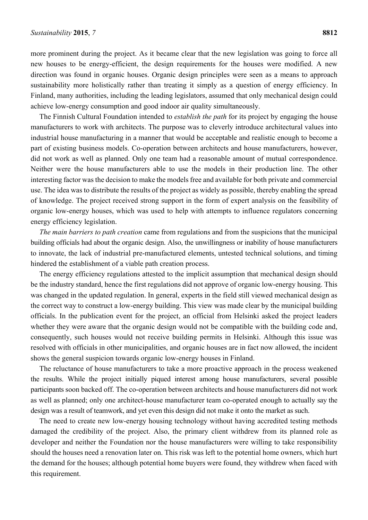more prominent during the project. As it became clear that the new legislation was going to force all new houses to be energy-efficient, the design requirements for the houses were modified. A new direction was found in organic houses. Organic design principles were seen as a means to approach sustainability more holistically rather than treating it simply as a question of energy efficiency. In Finland, many authorities, including the leading legislators, assumed that only mechanical design could achieve low-energy consumption and good indoor air quality simultaneously.

The Finnish Cultural Foundation intended to *establish the path* for its project by engaging the house manufacturers to work with architects. The purpose was to cleverly introduce architectural values into industrial house manufacturing in a manner that would be acceptable and realistic enough to become a part of existing business models. Co-operation between architects and house manufacturers, however, did not work as well as planned. Only one team had a reasonable amount of mutual correspondence. Neither were the house manufacturers able to use the models in their production line. The other interesting factor was the decision to make the models free and available for both private and commercial use. The idea was to distribute the results of the project as widely as possible, thereby enabling the spread of knowledge. The project received strong support in the form of expert analysis on the feasibility of organic low-energy houses, which was used to help with attempts to influence regulators concerning energy efficiency legislation.

*The main barriers to path creation* came from regulations and from the suspicions that the municipal building officials had about the organic design. Also, the unwillingness or inability of house manufacturers to innovate, the lack of industrial pre-manufactured elements, untested technical solutions, and timing hindered the establishment of a viable path creation process.

The energy efficiency regulations attested to the implicit assumption that mechanical design should be the industry standard, hence the first regulations did not approve of organic low-energy housing. This was changed in the updated regulation. In general, experts in the field still viewed mechanical design as the correct way to construct a low-energy building. This view was made clear by the municipal building officials. In the publication event for the project, an official from Helsinki asked the project leaders whether they were aware that the organic design would not be compatible with the building code and, consequently, such houses would not receive building permits in Helsinki. Although this issue was resolved with officials in other municipalities, and organic houses are in fact now allowed, the incident shows the general suspicion towards organic low-energy houses in Finland.

The reluctance of house manufacturers to take a more proactive approach in the process weakened the results. While the project initially piqued interest among house manufacturers, several possible participants soon backed off. The co-operation between architects and house manufacturers did not work as well as planned; only one architect-house manufacturer team co-operated enough to actually say the design was a result of teamwork, and yet even this design did not make it onto the market as such.

The need to create new low-energy housing technology without having accredited testing methods damaged the credibility of the project. Also, the primary client withdrew from its planned role as developer and neither the Foundation nor the house manufacturers were willing to take responsibility should the houses need a renovation later on. This risk was left to the potential home owners, which hurt the demand for the houses; although potential home buyers were found, they withdrew when faced with this requirement.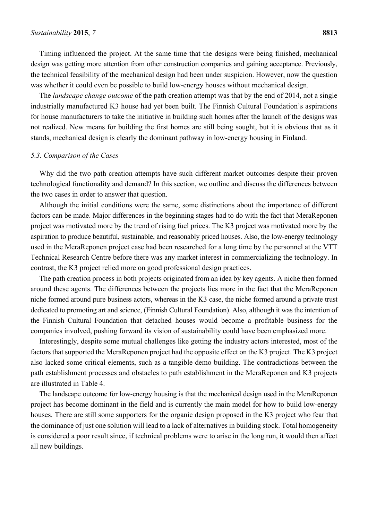Timing influenced the project. At the same time that the designs were being finished, mechanical design was getting more attention from other construction companies and gaining acceptance. Previously, the technical feasibility of the mechanical design had been under suspicion. However, now the question was whether it could even be possible to build low-energy houses without mechanical design.

The *landscape change outcome* of the path creation attempt was that by the end of 2014, not a single industrially manufactured K3 house had yet been built. The Finnish Cultural Foundation's aspirations for house manufacturers to take the initiative in building such homes after the launch of the designs was not realized. New means for building the first homes are still being sought, but it is obvious that as it stands, mechanical design is clearly the dominant pathway in low-energy housing in Finland.

#### *5.3. Comparison of the Cases*

Why did the two path creation attempts have such different market outcomes despite their proven technological functionality and demand? In this section, we outline and discuss the differences between the two cases in order to answer that question.

Although the initial conditions were the same, some distinctions about the importance of different factors can be made. Major differences in the beginning stages had to do with the fact that MeraReponen project was motivated more by the trend of rising fuel prices. The K3 project was motivated more by the aspiration to produce beautiful, sustainable, and reasonably priced houses. Also, the low-energy technology used in the MeraReponen project case had been researched for a long time by the personnel at the VTT Technical Research Centre before there was any market interest in commercializing the technology. In contrast, the K3 project relied more on good professional design practices.

The path creation process in both projects originated from an idea by key agents. A niche then formed around these agents. The differences between the projects lies more in the fact that the MeraReponen niche formed around pure business actors, whereas in the K3 case, the niche formed around a private trust dedicated to promoting art and science, (Finnish Cultural Foundation). Also, although it was the intention of the Finnish Cultural Foundation that detached houses would become a profitable business for the companies involved, pushing forward its vision of sustainability could have been emphasized more.

Interestingly, despite some mutual challenges like getting the industry actors interested, most of the factors that supported the MeraReponen project had the opposite effect on the K3 project. The K3 project also lacked some critical elements, such as a tangible demo building. The contradictions between the path establishment processes and obstacles to path establishment in the MeraReponen and K3 projects are illustrated in Table 4.

The landscape outcome for low-energy housing is that the mechanical design used in the MeraReponen project has become dominant in the field and is currently the main model for how to build low-energy houses. There are still some supporters for the organic design proposed in the K3 project who fear that the dominance of just one solution will lead to a lack of alternatives in building stock. Total homogeneity is considered a poor result since, if technical problems were to arise in the long run, it would then affect all new buildings.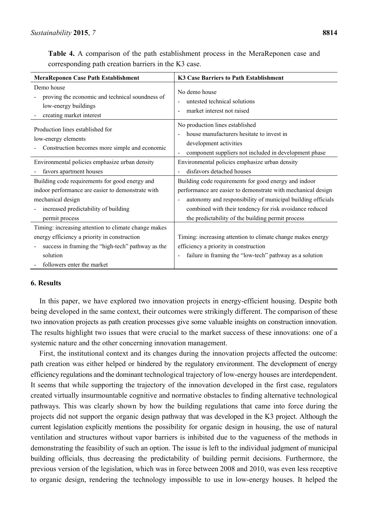**Table 4.** A comparison of the path establishment process in the MeraReponen case and corresponding path creation barriers in the K3 case.

| <b>MeraReponen Case Path Establishment</b>                                                                        | K3 Case Barriers to Path Establishment                                                                                                                          |
|-------------------------------------------------------------------------------------------------------------------|-----------------------------------------------------------------------------------------------------------------------------------------------------------------|
| Demo house<br>proving the economic and technical soundness of<br>low-energy buildings<br>creating market interest | No demo house<br>untested technical solutions<br>market interest not raised                                                                                     |
| Production lines established for<br>low-energy elements<br>Construction becomes more simple and economic          | No production lines established<br>house manufacturers hesitate to invest in<br>development activities<br>component suppliers not included in development phase |
| Environmental policies emphasize urban density                                                                    | Environmental policies emphasize urban density                                                                                                                  |
| favors apartment houses                                                                                           | disfavors detached houses                                                                                                                                       |
| Building code requirements for good energy and                                                                    | Building code requirements for good energy and indoor                                                                                                           |
| indoor performance are easier to demonstrate with                                                                 | performance are easier to demonstrate with mechanical design                                                                                                    |
| mechanical design                                                                                                 | autonomy and responsibility of municipal building officials                                                                                                     |
| increased predictability of building                                                                              | combined with their tendency for risk avoidance reduced                                                                                                         |
| permit process                                                                                                    | the predictability of the building permit process                                                                                                               |
| Timing: increasing attention to climate change makes                                                              |                                                                                                                                                                 |
| energy efficiency a priority in construction                                                                      | Timing: increasing attention to climate change makes energy                                                                                                     |
| success in framing the "high-tech" pathway as the                                                                 | efficiency a priority in construction                                                                                                                           |
| solution                                                                                                          | failure in framing the "low-tech" pathway as a solution                                                                                                         |
| followers enter the market                                                                                        |                                                                                                                                                                 |

### **6. Results**

In this paper, we have explored two innovation projects in energy-efficient housing. Despite both being developed in the same context, their outcomes were strikingly different. The comparison of these two innovation projects as path creation processes give some valuable insights on construction innovation. The results highlight two issues that were crucial to the market success of these innovations: one of a systemic nature and the other concerning innovation management.

First, the institutional context and its changes during the innovation projects affected the outcome: path creation was either helped or hindered by the regulatory environment. The development of energy efficiency regulations and the dominant technological trajectory of low-energy houses are interdependent. It seems that while supporting the trajectory of the innovation developed in the first case, regulators created virtually insurmountable cognitive and normative obstacles to finding alternative technological pathways. This was clearly shown by how the building regulations that came into force during the projects did not support the organic design pathway that was developed in the K3 project. Although the current legislation explicitly mentions the possibility for organic design in housing, the use of natural ventilation and structures without vapor barriers is inhibited due to the vagueness of the methods in demonstrating the feasibility of such an option. The issue is left to the individual judgment of municipal building officials, thus decreasing the predictability of building permit decisions. Furthermore, the previous version of the legislation, which was in force between 2008 and 2010, was even less receptive to organic design, rendering the technology impossible to use in low-energy houses. It helped the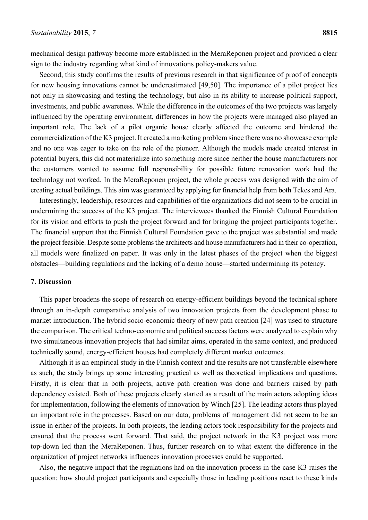mechanical design pathway become more established in the MeraReponen project and provided a clear sign to the industry regarding what kind of innovations policy-makers value.

Second, this study confirms the results of previous research in that significance of proof of concepts for new housing innovations cannot be underestimated [49,50]. The importance of a pilot project lies not only in showcasing and testing the technology, but also in its ability to increase political support, investments, and public awareness. While the difference in the outcomes of the two projects was largely influenced by the operating environment, differences in how the projects were managed also played an important role. The lack of a pilot organic house clearly affected the outcome and hindered the commercialization of the K3 project. It created a marketing problem since there was no showcase example and no one was eager to take on the role of the pioneer. Although the models made created interest in potential buyers, this did not materialize into something more since neither the house manufacturers nor the customers wanted to assume full responsibility for possible future renovation work had the technology not worked. In the MeraReponen project, the whole process was designed with the aim of creating actual buildings. This aim was guaranteed by applying for financial help from both Tekes and Ara.

Interestingly, leadership, resources and capabilities of the organizations did not seem to be crucial in undermining the success of the K3 project. The interviewees thanked the Finnish Cultural Foundation for its vision and efforts to push the project forward and for bringing the project participants together. The financial support that the Finnish Cultural Foundation gave to the project was substantial and made the project feasible. Despite some problems the architects and house manufacturers had in their co-operation, all models were finalized on paper. It was only in the latest phases of the project when the biggest obstacles—building regulations and the lacking of a demo house—started undermining its potency.

#### **7. Discussion**

This paper broadens the scope of research on energy-efficient buildings beyond the technical sphere through an in-depth comparative analysis of two innovation projects from the development phase to market introduction. The hybrid socio-economic theory of new path creation [24] was used to structure the comparison. The critical techno-economic and political success factors were analyzed to explain why two simultaneous innovation projects that had similar aims, operated in the same context, and produced technically sound, energy-efficient houses had completely different market outcomes.

Although it is an empirical study in the Finnish context and the results are not transferable elsewhere as such, the study brings up some interesting practical as well as theoretical implications and questions. Firstly, it is clear that in both projects, active path creation was done and barriers raised by path dependency existed. Both of these projects clearly started as a result of the main actors adopting ideas for implementation, following the elements of innovation by Winch [25]. The leading actors thus played an important role in the processes. Based on our data, problems of management did not seem to be an issue in either of the projects. In both projects, the leading actors took responsibility for the projects and ensured that the process went forward. That said, the project network in the K3 project was more top-down led than the MeraReponen. Thus, further research on to what extent the difference in the organization of project networks influences innovation processes could be supported.

Also, the negative impact that the regulations had on the innovation process in the case K3 raises the question: how should project participants and especially those in leading positions react to these kinds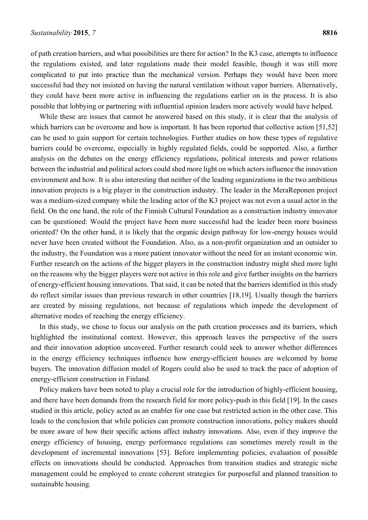of path creation barriers, and what possibilities are there for action? In the K3 case, attempts to influence the regulations existed, and later regulations made their model feasible, though it was still more complicated to put into practice than the mechanical version. Perhaps they would have been more successful had they not insisted on having the natural ventilation without vapor barriers. Alternatively, they could have been more active in influencing the regulations earlier on in the process. It is also possible that lobbying or partnering with influential opinion leaders more actively would have helped.

While these are issues that cannot be answered based on this study, it is clear that the analysis of which barriers can be overcome and how is important. It has been reported that collective action [51,52] can be used to gain support for certain technologies. Further studies on how these types of regulative barriers could be overcome, especially in highly regulated fields, could be supported. Also, a further analysis on the debates on the energy efficiency regulations, political interests and power relations between the industrial and political actors could shed more light on which actors influence the innovation environment and how. It is also interesting that neither of the leading organizations in the two ambitious innovation projects is a big player in the construction industry. The leader in the MeraReponen project was a medium-sized company while the leading actor of the K3 project was not even a usual actor in the field. On the one hand, the role of the Finnish Cultural Foundation as a construction industry innovator can be questioned: Would the project have been more successful had the leader been more business oriented? On the other hand, it is likely that the organic design pathway for low-energy houses would never have been created without the Foundation. Also, as a non-profit organization and an outsider to the industry, the Foundation was a more patient innovator without the need for an instant economic win. Further research on the actions of the bigger players in the construction industry might shed more light on the reasons why the bigger players were not active in this role and give further insights on the barriers of energy-efficient housing innovations. That said, it can be noted that the barriers identified in this study do reflect similar issues than previous research in other countries [18,19]. Usually though the barriers are created by missing regulations, not because of regulations which impede the development of alternative modes of reaching the energy efficiency.

In this study, we chose to focus our analysis on the path creation processes and its barriers, which highlighted the institutional context. However, this approach leaves the perspective of the users and their innovation adoption uncovered. Further research could seek to answer whether differences in the energy efficiency techniques influence how energy-efficient houses are welcomed by home buyers. The innovation diffusion model of Rogers could also be used to track the pace of adoption of energy-efficient construction in Finland.

Policy makers have been noted to play a crucial role for the introduction of highly-efficient housing, and there have been demands from the research field for more policy-push in this field [19]. In the cases studied in this article, policy acted as an enabler for one case but restricted action in the other case. This leads to the conclusion that while policies can promote construction innovations, policy makers should be more aware of how their specific actions affect industry innovations. Also, even if they improve the energy efficiency of housing, energy performance regulations can sometimes merely result in the development of incremental innovations [53]. Before implementing policies, evaluation of possible effects on innovations should be conducted. Approaches from transition studies and strategic niche management could be employed to create coherent strategies for purposeful and planned transition to sustainable housing.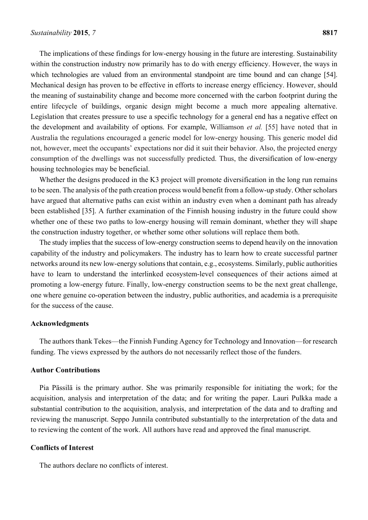The implications of these findings for low-energy housing in the future are interesting. Sustainability within the construction industry now primarily has to do with energy efficiency. However, the ways in which technologies are valued from an environmental standpoint are time bound and can change [54]. Mechanical design has proven to be effective in efforts to increase energy efficiency. However, should the meaning of sustainability change and become more concerned with the carbon footprint during the entire lifecycle of buildings, organic design might become a much more appealing alternative. Legislation that creates pressure to use a specific technology for a general end has a negative effect on the development and availability of options. For example, Williamson *et al.* [55] have noted that in Australia the regulations encouraged a generic model for low-energy housing. This generic model did not, however, meet the occupants' expectations nor did it suit their behavior. Also, the projected energy consumption of the dwellings was not successfully predicted. Thus, the diversification of low-energy housing technologies may be beneficial.

Whether the designs produced in the K3 project will promote diversification in the long run remains to be seen. The analysis of the path creation process would benefit from a follow-up study. Other scholars have argued that alternative paths can exist within an industry even when a dominant path has already been established [35]. A further examination of the Finnish housing industry in the future could show whether one of these two paths to low-energy housing will remain dominant, whether they will shape the construction industry together, or whether some other solutions will replace them both.

The study implies that the success of low-energy construction seems to depend heavily on the innovation capability of the industry and policymakers. The industry has to learn how to create successful partner networks around its new low-energy solutions that contain, e.g., ecosystems. Similarly, public authorities have to learn to understand the interlinked ecosystem-level consequences of their actions aimed at promoting a low-energy future. Finally, low-energy construction seems to be the next great challenge, one where genuine co-operation between the industry, public authorities, and academia is a prerequisite for the success of the cause.

#### **Acknowledgments**

The authors thank Tekes—the Finnish Funding Agency for Technology and Innovation—for research funding. The views expressed by the authors do not necessarily reflect those of the funders.

#### **Author Contributions**

Pia Pässilä is the primary author. She was primarily responsible for initiating the work; for the acquisition, analysis and interpretation of the data; and for writing the paper. Lauri Pulkka made a substantial contribution to the acquisition, analysis, and interpretation of the data and to drafting and reviewing the manuscript. Seppo Junnila contributed substantially to the interpretation of the data and to reviewing the content of the work. All authors have read and approved the final manuscript.

#### **Conflicts of Interest**

The authors declare no conflicts of interest.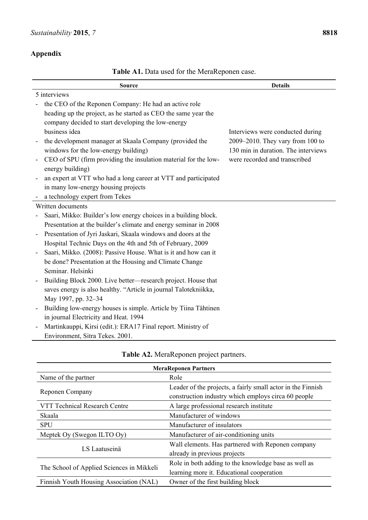# **Appendix**

**Table A1.** Data used for the MeraReponen case.

| <b>Source</b>                                                    | <b>Details</b>                      |
|------------------------------------------------------------------|-------------------------------------|
| 5 interviews                                                     |                                     |
| the CEO of the Reponen Company: He had an active role            |                                     |
| heading up the project, as he started as CEO the same year the   |                                     |
| company decided to start developing the low-energy               |                                     |
| business idea                                                    | Interviews were conducted during    |
| the development manager at Skaala Company (provided the          | 2009–2010. They vary from 100 to    |
| windows for the low-energy building)                             | 130 min in duration. The interviews |
| CEO of SPU (firm providing the insulation material for the low-  | were recorded and transcribed       |
| energy building)                                                 |                                     |
| an expert at VTT who had a long career at VTT and participated   |                                     |
| in many low-energy housing projects                              |                                     |
| a technology expert from Tekes                                   |                                     |
| Written documents                                                |                                     |
| Saari, Mikko: Builder's low energy choices in a building block.  |                                     |
| Presentation at the builder's climate and energy seminar in 2008 |                                     |
| Presentation of Jyri Jaskari, Skaala windows and doors at the    |                                     |
| Hospital Technic Days on the 4th and 5th of February, 2009       |                                     |
| Saari, Mikko. (2008): Passive House. What is it and how can it   |                                     |
| be done? Presentation at the Housing and Climate Change          |                                     |
| Seminar. Helsinki                                                |                                     |
| Building Block 2000. Live better—research project. House that    |                                     |
| saves energy is also healthy. "Article in journal Talotekniikka, |                                     |
| May 1997, pp. 32-34                                              |                                     |
| Building low-energy houses is simple. Article by Tiina Tähtinen  |                                     |
| in journal Electricity and Heat. 1994                            |                                     |
| Martinkauppi, Kirsi (edit.): ERA17 Final report. Ministry of     |                                     |
| Environment, Sitra Tekes. 2001.                                  |                                     |

| <b>MeraReponen Partners</b>               |                                                             |  |  |
|-------------------------------------------|-------------------------------------------------------------|--|--|
| Name of the partner                       | Role                                                        |  |  |
| Reponen Company                           | Leader of the projects, a fairly small actor in the Finnish |  |  |
|                                           | construction industry which employs circa 60 people         |  |  |
| <b>VTT Technical Research Centre</b>      | A large professional research institute                     |  |  |
| Skaala                                    | Manufacturer of windows                                     |  |  |
| <b>SPU</b>                                | Manufacturer of insulators                                  |  |  |
| Meptek Oy (Swegon ILTO Oy)                | Manufacturer of air-conditioning units                      |  |  |
|                                           | Wall elements. Has partnered with Reponen company           |  |  |
| LS Laatuseinä                             | already in previous projects                                |  |  |
| The School of Applied Sciences in Mikkeli | Role in both adding to the knowledge base as well as        |  |  |
|                                           | learning more it. Educational cooperation                   |  |  |
| Finnish Youth Housing Association (NAL)   | Owner of the first building block                           |  |  |

# **Table A2.** MeraReponen project partners.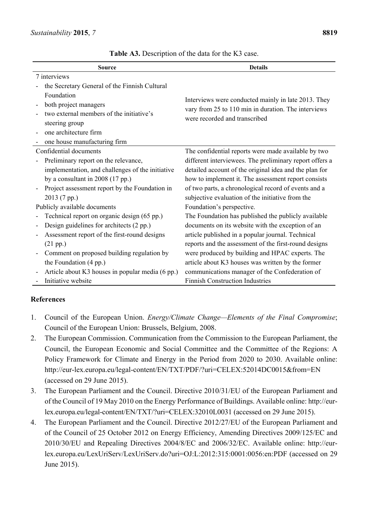| <b>Source</b>                                    | <b>Details</b>                                          |
|--------------------------------------------------|---------------------------------------------------------|
| 7 interviews                                     |                                                         |
| the Secretary General of the Finnish Cultural    |                                                         |
| Foundation                                       | Interviews were conducted mainly in late 2013. They     |
| both project managers                            | vary from 25 to 110 min in duration. The interviews     |
| two external members of the initiative's         | were recorded and transcribed                           |
| steering group                                   |                                                         |
| one architecture firm                            |                                                         |
| one house manufacturing firm                     |                                                         |
| Confidential documents                           | The confidential reports were made available by two     |
| Preliminary report on the relevance,             | different interviewees. The preliminary report offers a |
| implementation, and challenges of the initiative | detailed account of the original idea and the plan for  |
| by a consultant in $2008(17 \text{ pp.})$        | how to implement it. The assessment report consists     |
| Project assessment report by the Foundation in   | of two parts, a chronological record of events and a    |
| 2013 (7 pp.)                                     | subjective evaluation of the initiative from the        |
| Publicly available documents                     | Foundation's perspective.                               |
| Technical report on organic design (65 pp.)      | The Foundation has published the publicly available     |
| Design guidelines for architects (2 pp.)         | documents on its website with the exception of an       |
| Assessment report of the first-round designs     | article published in a popular journal. Technical       |
| (21 pp.)                                         | reports and the assessment of the first-round designs   |
| Comment on proposed building regulation by       | were produced by building and HPAC experts. The         |
| the Foundation (4 pp.)                           | article about K3 houses was written by the former       |
| Article about K3 houses in popular media (6 pp.) | communications manager of the Confederation of          |
| Initiative website                               | <b>Finnish Construction Industries</b>                  |

**Table A3.** Description of the data for the K3 case.

# **References**

- 1. Council of the European Union. *Energy/Climate Change—Elements of the Final Compromise*; Council of the European Union: Brussels, Belgium, 2008.
- 2. The European Commission. Communication from the Commission to the European Parliament, the Council, the European Economic and Social Committee and the Committee of the Regions: A Policy Framework for Climate and Energy in the Period from 2020 to 2030. Available online: http://eur-lex.europa.eu/legal-content/EN/TXT/PDF/?uri=CELEX:52014DC0015&from=EN (accessed on 29 June 2015).
- 3. The European Parliament and the Council. Directive 2010/31/EU of the European Parliament and of the Council of 19 May 2010 on the Energy Performance of Buildings. Available online: http://eurlex.europa.eu/legal-content/EN/TXT/?uri=CELEX:32010L0031 (accessed on 29 June 2015).
- 4. The European Parliament and the Council. Directive 2012/27/EU of the European Parliament and of the Council of 25 October 2012 on Energy Efficiency, Amending Directives 2009/125/EC and 2010/30/EU and Repealing Directives 2004/8/EC and 2006/32/EC. Available online: http://eurlex.europa.eu/LexUriServ/LexUriServ.do?uri=OJ:L:2012:315:0001:0056:en:PDF (accessed on 29 June 2015).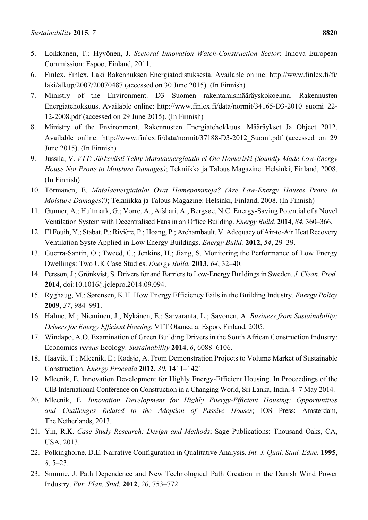- 5. Loikkanen, T.; Hyvönen, J. *Sectoral Innovation Watch-Construction Sector*; Innova European Commission: Espoo, Finland, 2011.
- 6. Finlex. Finlex. Laki Rakennuksen Energiatodistuksesta. Available online: http://www.finlex.fi/fi/ laki/alkup/2007/20070487 (accessed on 30 June 2015). (In Finnish)
- 7. Ministry of the Environment. D3 Suomen rakentamismääräyskokoelma. Rakennusten Energiatehokkuus. Available online: http://www.finlex.fi/data/normit/34165-D3-2010\_suomi\_22- 12-2008.pdf (accessed on 29 June 2015). (In Finnish)
- 8. Ministry of the Environment. Rakennusten Energiatehokkuus. Määräykset Ja Ohjeet 2012. Available online: http://www.finlex.fi/data/normit/37188-D3-2012 Suomi.pdf (accessed on 29 June 2015). (In Finnish)
- 9. Jussila, V. *VTT: Järkevästi Tehty Matalaenergiatalo ei Ole Homeriski (Soundly Made Low-Energy House Not Prone to Moisture Damages)*; Tekniikka ja Talous Magazine: Helsinki, Finland, 2008. (In Finnish)
- 10. Törmänen, E. *Matalaenergiatalot Ovat Homepommeja? (Are Low-Energy Houses Prone to Moisture Damages?)*; Tekniikka ja Talous Magazine: Helsinki, Finland, 2008. (In Finnish)
- 11. Gunner, A.; Hultmark, G.; Vorre, A.; Afshari, A.; Bergsøe, N.C. Energy-Saving Potential of a Novel Ventilation System with Decentralised Fans in an Office Building. *Energy Build.* **2014**, *84*, 360–366.
- 12. El Fouih, Y.; Stabat, P.; Rivière, P.; Hoang, P.; Archambault, V. Adequacy of Air-to-Air Heat Recovery Ventilation Syste Applied in Low Energy Buildings. *Energy Build.* **2012**, *54*, 29–39.
- 13. Guerra-Santin, O.; Tweed, C.; Jenkins, H.; Jiang, S. Monitoring the Performance of Low Energy Dwellings: Two UK Case Studies. *Energy Build.* **2013**, *64*, 32–40.
- 14. Persson, J.; Grönkvist, S. Drivers for and Barriers to Low-Energy Buildings in Sweden. *J. Clean. Prod.* **2014**, doi:10.1016/j.jclepro.2014.09.094.
- 15. Ryghaug, M.; Sørensen, K.H. How Energy Efficiency Fails in the Building Industry. *Energy Policy* **2009**, *37*, 984–991.
- 16. Halme, M.; Nieminen, J.; Nykänen, E.; Sarvaranta, L.; Savonen, A. *Business from Sustainability: Drivers for Energy Efficient Housing*; VTT Otamedia: Espoo, Finland, 2005.
- 17. Windapo, A.O. Examination of Green Building Drivers in the South African Construction Industry: Economics *versus* Ecology. *Sustainability* **2014**, *6*, 6088–6106.
- 18. Haavik, T.; Mlecnik, E.; Rødsjø, A. From Demonstration Projects to Volume Market of Sustainable Construction. *Energy Procedia* **2012**, *30*, 1411–1421.
- 19. Mlecnik, E. Innovation Development for Highly Energy-Efficient Housing. In Proceedings of the CIB International Conference on Construction in a Changing World, Sri Lanka, India, 4–7 May 2014.
- 20. Mlecnik, E. *Innovation Development for Highly Energy-Efficient Housing: Opportunities and Challenges Related to the Adoption of Passive Houses*; IOS Press: Amsterdam, The Netherlands, 2013.
- 21. Yin, R.K. *Case Study Research: Design and Methods*; Sage Publications: Thousand Oaks, CA, USA, 2013.
- 22. Polkinghorne, D.E. Narrative Configuration in Qualitative Analysis. *Int. J. Qual. Stud. Educ.* **1995**, *8*, 5–23.
- 23. Simmie, J. Path Dependence and New Technological Path Creation in the Danish Wind Power Industry. *Eur. Plan. Stud.* **2012**, *20*, 753–772.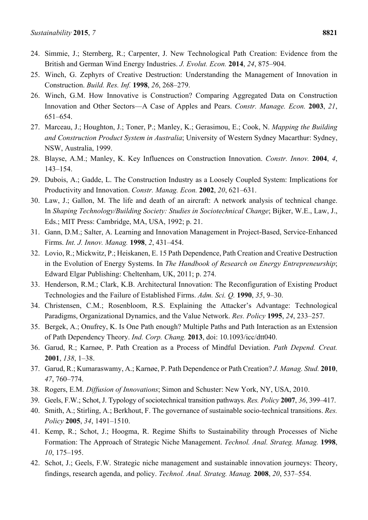- 24. Simmie, J.; Sternberg, R.; Carpenter, J. New Technological Path Creation: Evidence from the British and German Wind Energy Industries. *J. Evolut. Econ.* **2014**, *24*, 875–904.
- 25. Winch, G. Zephyrs of Creative Destruction: Understanding the Management of Innovation in Construction. *Build. Res. Inf.* **1998**, *26*, 268–279.
- 26. Winch, G.M. How Innovative is Construction? Comparing Aggregated Data on Construction Innovation and Other Sectors—A Case of Apples and Pears. *Constr. Manage. Econ.* **2003**, *21*, 651–654.
- 27. Marceau, J.; Houghton, J.; Toner, P.; Manley, K.; Gerasimou, E.; Cook, N. *Mapping the Building and Construction Product System in Australia*; University of Western Sydney Macarthur: Sydney, NSW, Australia, 1999.
- 28. Blayse, A.M.; Manley, K. Key Influences on Construction Innovation. *Constr. Innov.* **2004**, *4*, 143–154.
- 29. Dubois, A.; Gadde, L. The Construction Industry as a Loosely Coupled System: Implications for Productivity and Innovation. *Constr. Manag. Econ.* **2002**, *20*, 621–631.
- 30. Law, J.; Gallon, M. The life and death of an aircraft: A network analysis of technical change. In *Shaping Technology/Building Society: Studies in Sociotechnical Change*; Bijker, W.E., Law, J., Eds.; MIT Press: Cambridge, MA, USA, 1992; p. 21.
- 31. Gann, D.M.; Salter, A. Learning and Innovation Management in Project-Based, Service-Enhanced Firms. *Int. J. Innov. Manag.* **1998**, *2*, 431–454.
- 32. Lovio, R.; Mickwitz, P.; Heiskanen, E. 15 Path Dependence, Path Creation and Creative Destruction in the Evolution of Energy Systems. In *The Handbook of Research on Energy Entrepreneurship*; Edward Elgar Publishing: Cheltenham, UK, 2011; p. 274.
- 33. Henderson, R.M.; Clark, K.B. Architectural Innovation: The Reconfiguration of Existing Product Technologies and the Failure of Established Firms. *Adm. Sci. Q.* **1990**, *35*, 9–30.
- 34. Christensen, C.M.; Rosenbloom, R.S. Explaining the Attacker's Advantage: Technological Paradigms, Organizational Dynamics, and the Value Network. *Res. Policy* **1995**, *24*, 233–257.
- 35. Bergek, A.; Onufrey, K. Is One Path enough? Multiple Paths and Path Interaction as an Extension of Path Dependency Theory. *Ind. Corp. Chang.* **2013**, doi: 10.1093/icc/dtt040.
- 36. Garud, R.; Karnøe, P. Path Creation as a Process of Mindful Deviation. *Path Depend. Creat.* **2001**, *138*, 1–38.
- 37. Garud, R.; Kumaraswamy, A.; Karnøe, P. Path Dependence or Path Creation? *J. Manag. Stud.* **2010**, *47*, 760–774.
- 38. Rogers, E.M. *Diffusion of Innovations*; Simon and Schuster: New York, NY, USA, 2010.
- 39. Geels, F.W.; Schot, J. Typology of sociotechnical transition pathways. *Res. Policy* **2007**, *36*, 399–417.
- 40. Smith, A.; Stirling, A.; Berkhout, F. The governance of sustainable socio-technical transitions. *Res. Policy* **2005**, *34*, 1491–1510.
- 41. Kemp, R.; Schot, J.; Hoogma, R. Regime Shifts to Sustainability through Processes of Niche Formation: The Approach of Strategic Niche Management. *Technol. Anal. Strateg. Manag.* **1998**, *10*, 175–195.
- 42. Schot, J.; Geels, F.W. Strategic niche management and sustainable innovation journeys: Theory, findings, research agenda, and policy. *Technol. Anal. Strateg. Manag.* **2008**, *20*, 537–554.